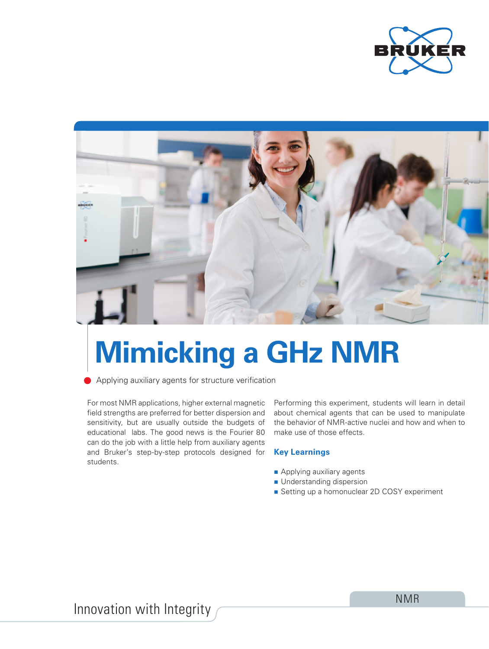



# **Mimicking a GHz NMR**

Applying auxiliary agents for structure verification

For most NMR applications, higher external magnetic field strengths are preferred for better dispersion and sensitivity, but are usually outside the budgets of educational labs. The good news is the Fourier 80 can do the job with a little help from auxiliary agents and Bruker's step-by-step protocols designed for students.

Performing this experiment, students will learn in detail about chemical agents that can be used to manipulate the behavior of NMR-active nuclei and how and when to make use of those effects.

# **Key Learnings**

- **Applying auxiliary agents**
- **Understanding dispersion**
- Setting up a homonuclear 2D COSY experiment